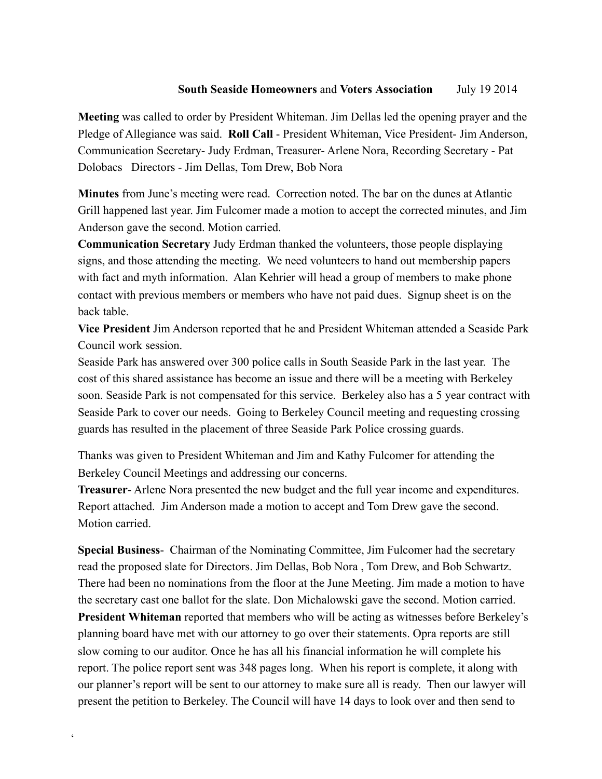## **South Seaside Homeowners** and **Voters Association** July 19 2014

**Meeting** was called to order by President Whiteman. Jim Dellas led the opening prayer and the Pledge of Allegiance was said. **Roll Call** - President Whiteman, Vice President- Jim Anderson, Communication Secretary- Judy Erdman, Treasurer- Arlene Nora, Recording Secretary - Pat Dolobacs Directors - Jim Dellas, Tom Drew, Bob Nora

**Minutes** from June's meeting were read. Correction noted. The bar on the dunes at Atlantic Grill happened last year. Jim Fulcomer made a motion to accept the corrected minutes, and Jim Anderson gave the second. Motion carried.

**Communication Secretary** Judy Erdman thanked the volunteers, those people displaying signs, and those attending the meeting. We need volunteers to hand out membership papers with fact and myth information. Alan Kehrier will head a group of members to make phone contact with previous members or members who have not paid dues. Signup sheet is on the back table.

**Vice President** Jim Anderson reported that he and President Whiteman attended a Seaside Park Council work session.

Seaside Park has answered over 300 police calls in South Seaside Park in the last year. The cost of this shared assistance has become an issue and there will be a meeting with Berkeley soon. Seaside Park is not compensated for this service. Berkeley also has a 5 year contract with Seaside Park to cover our needs. Going to Berkeley Council meeting and requesting crossing guards has resulted in the placement of three Seaside Park Police crossing guards.

Thanks was given to President Whiteman and Jim and Kathy Fulcomer for attending the Berkeley Council Meetings and addressing our concerns.

**Treasurer**- Arlene Nora presented the new budget and the full year income and expenditures. Report attached. Jim Anderson made a motion to accept and Tom Drew gave the second. Motion carried.

**Special Business**- Chairman of the Nominating Committee, Jim Fulcomer had the secretary read the proposed slate for Directors. Jim Dellas, Bob Nora , Tom Drew, and Bob Schwartz. There had been no nominations from the floor at the June Meeting. Jim made a motion to have the secretary cast one ballot for the slate. Don Michalowski gave the second. Motion carried. **President Whiteman** reported that members who will be acting as witnesses before Berkeley's planning board have met with our attorney to go over their statements. Opra reports are still slow coming to our auditor. Once he has all his financial information he will complete his report. The police report sent was 348 pages long. When his report is complete, it along with our planner's report will be sent to our attorney to make sure all is ready. Then our lawyer will present the petition to Berkeley. The Council will have 14 days to look over and then send to

 $\zeta$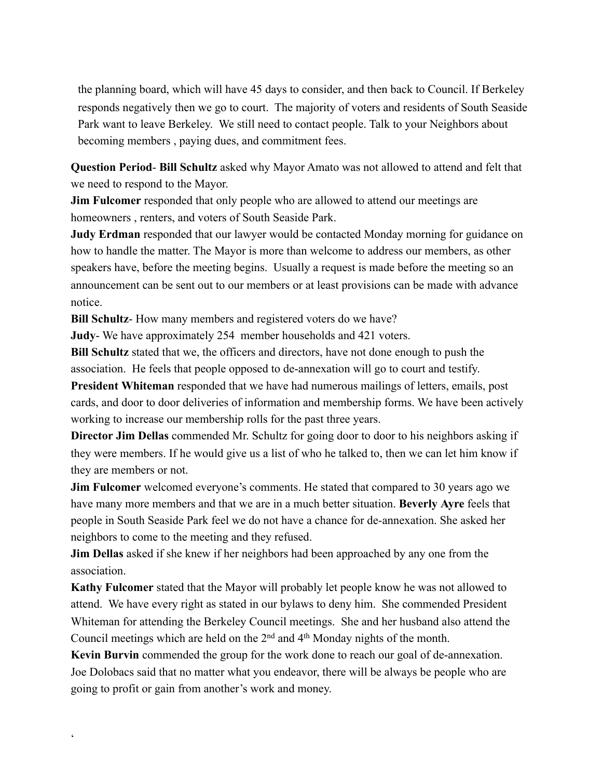the planning board, which will have 45 days to consider, and then back to Council. If Berkeley responds negatively then we go to court. The majority of voters and residents of South Seaside Park want to leave Berkeley. We still need to contact people. Talk to your Neighbors about becoming members , paying dues, and commitment fees.

**Question Period**- **Bill Schultz** asked why Mayor Amato was not allowed to attend and felt that we need to respond to the Mayor.

**Jim Fulcomer** responded that only people who are allowed to attend our meetings are homeowners , renters, and voters of South Seaside Park.

**Judy Erdman** responded that our lawyer would be contacted Monday morning for guidance on how to handle the matter. The Mayor is more than welcome to address our members, as other speakers have, before the meeting begins. Usually a request is made before the meeting so an announcement can be sent out to our members or at least provisions can be made with advance notice.

**Bill Schultz**- How many members and registered voters do we have?

**Judy**- We have approximately 254 member households and 421 voters.

**Bill Schultz** stated that we, the officers and directors, have not done enough to push the association. He feels that people opposed to de-annexation will go to court and testify.

**President Whiteman** responded that we have had numerous mailings of letters, emails, post cards, and door to door deliveries of information and membership forms. We have been actively working to increase our membership rolls for the past three years.

**Director Jim Dellas** commended Mr. Schultz for going door to door to his neighbors asking if they were members. If he would give us a list of who he talked to, then we can let him know if they are members or not.

**Jim Fulcomer** welcomed everyone's comments. He stated that compared to 30 years ago we have many more members and that we are in a much better situation. **Beverly Ayre** feels that people in South Seaside Park feel we do not have a chance for de-annexation. She asked her neighbors to come to the meeting and they refused.

**Jim Dellas** asked if she knew if her neighbors had been approached by any one from the association.

**Kathy Fulcomer** stated that the Mayor will probably let people know he was not allowed to attend. We have every right as stated in our bylaws to deny him. She commended President Whiteman for attending the Berkeley Council meetings. She and her husband also attend the Council meetings which are held on the 2nd and 4th Monday nights of the month.

**Kevin Burvin** commended the group for the work done to reach our goal of de-annexation. Joe Dolobacs said that no matter what you endeavor, there will be always be people who are going to profit or gain from another's work and money.

 $\zeta$